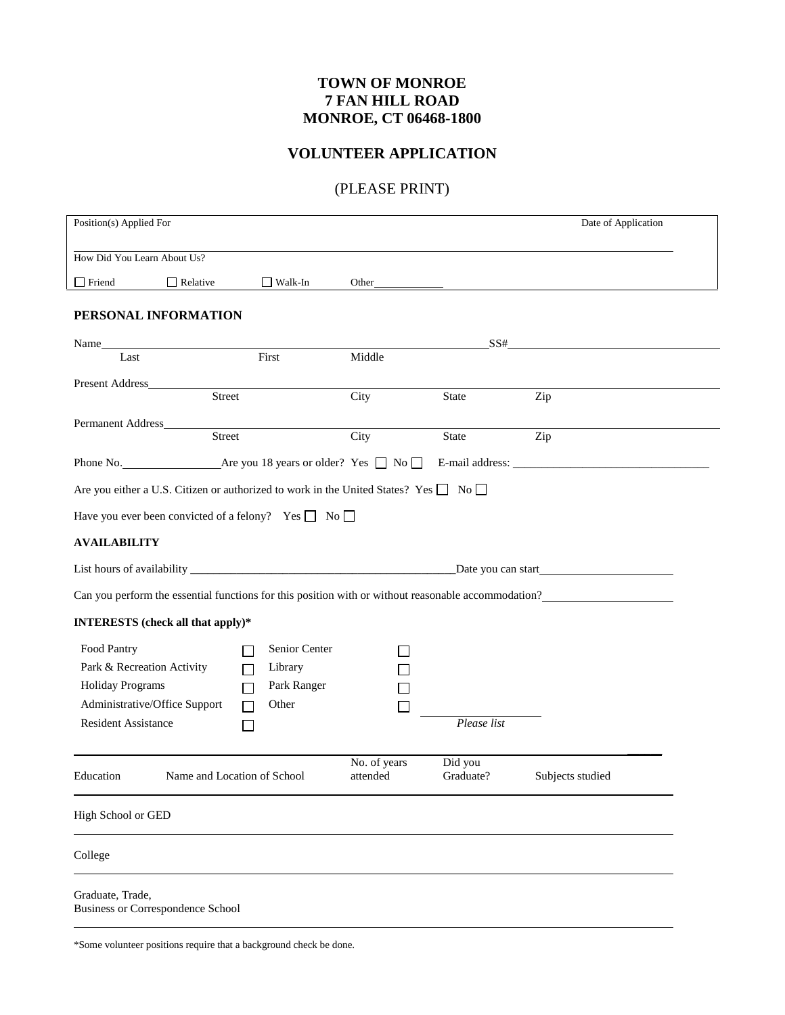## **TOWN OF MONROE 7 FAN HILL ROAD MONROE, CT 06468-1800**

## **VOLUNTEER APPLICATION**

## (PLEASE PRINT)

| Position(s) Applied For                                       |                                                                                      |                                                                            |                          |                      | Date of Application                                                                                 |  |  |  |
|---------------------------------------------------------------|--------------------------------------------------------------------------------------|----------------------------------------------------------------------------|--------------------------|----------------------|-----------------------------------------------------------------------------------------------------|--|--|--|
|                                                               | How Did You Learn About Us?                                                          |                                                                            |                          |                      |                                                                                                     |  |  |  |
| $\Box$ Friend                                                 | $\Box$ Relative                                                                      | $\Box$ Walk-In                                                             | Other                    |                      |                                                                                                     |  |  |  |
|                                                               | PERSONAL INFORMATION                                                                 |                                                                            |                          |                      |                                                                                                     |  |  |  |
|                                                               |                                                                                      |                                                                            |                          | SS#                  |                                                                                                     |  |  |  |
| Last                                                          |                                                                                      | First                                                                      | Middle                   |                      |                                                                                                     |  |  |  |
|                                                               | Street                                                                               |                                                                            | City                     | State                | Zip                                                                                                 |  |  |  |
|                                                               | Street                                                                               |                                                                            | City                     | State                | Zip                                                                                                 |  |  |  |
|                                                               |                                                                                      |                                                                            |                          |                      |                                                                                                     |  |  |  |
|                                                               | Are you either a U.S. Citizen or authorized to work in the United States? Yes □ No □ |                                                                            |                          |                      |                                                                                                     |  |  |  |
|                                                               | Have you ever been convicted of a felony? Yes $\Box$ No $\Box$                       |                                                                            |                          |                      |                                                                                                     |  |  |  |
| <b>AVAILABILITY</b>                                           |                                                                                      |                                                                            |                          |                      |                                                                                                     |  |  |  |
|                                                               |                                                                                      |                                                                            |                          |                      |                                                                                                     |  |  |  |
|                                                               |                                                                                      |                                                                            |                          |                      | Can you perform the essential functions for this position with or without reasonable accommodation? |  |  |  |
|                                                               | INTERESTS (check all that apply)*                                                    |                                                                            |                          |                      |                                                                                                     |  |  |  |
| Food Pantry<br>Holiday Programs<br><b>Resident Assistance</b> | Park & Recreation Activity<br>Administrative/Office Support                          | Senior Center<br>Library<br>Park Ranger<br>Other<br>$\Box$<br>$\mathbf{I}$ |                          | Please list          |                                                                                                     |  |  |  |
| Education                                                     | Name and Location of School                                                          |                                                                            | No. of years<br>attended | Did you<br>Graduate? | Subjects studied                                                                                    |  |  |  |
| High School or GED                                            |                                                                                      |                                                                            |                          |                      |                                                                                                     |  |  |  |
| College                                                       |                                                                                      |                                                                            |                          |                      |                                                                                                     |  |  |  |
| Graduate, Trade,                                              | Business or Correspondence School                                                    |                                                                            |                          |                      |                                                                                                     |  |  |  |

\*Some volunteer positions require that a background check be done.